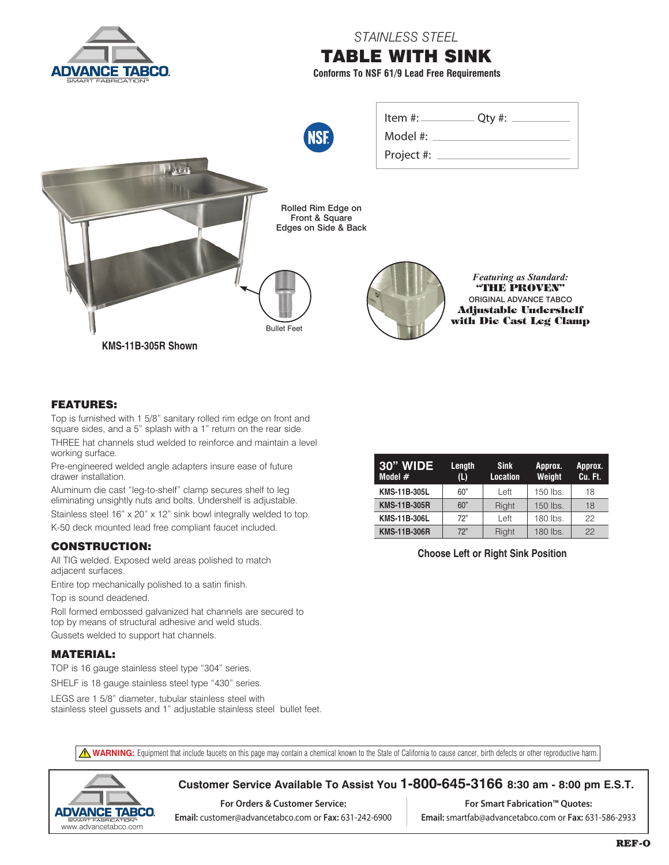

## FEATURES:

Top is furnished with 1 5/8" sanitary rolled rim edge on front and square sides, and a 5" splash with a 1" return on the rear side. THREE hat channels stud welded to reinforce and maintain a level working surface.

Pre-engineered welded angle adapters insure ease of future drawer installation.

Aluminum die cast "leg-to-shelf" clamp secures shelf to leg eliminating unsightly nuts and bolts. Undershelf is adjustable.

Stainless steel 16" x 20" x 12" sink bowl integrally welded to top. K-50 deck mounted lead free compliant faucet included.

## CONSTRUCTION:

All TIG welded. Exposed weld areas polished to match adjacent surfaces.

Entire top mechanically polished to a satin finish.

Top is sound deadened.

Roll formed embossed galvanized hat channels are secured to top by means of structural adhesive and weld studs.

Gussets welded to support hat channels.

## MATERIAL:

TOP is 16 gauge stainless steel type "304" series.

SHELF is 18 gauge stainless steel type "430" series.

LEGS are 1 5/8" diameter, tubular stainless steel with stainless steel gussets and 1" adjustable stainless steel bullet feet.

| 30" WIDE<br>Model $#$ | Length<br>(L) | <b>Sink</b><br><b>Location</b> | Approx.<br>Weight | Approx.<br>Cu. Ft. |
|-----------------------|---------------|--------------------------------|-------------------|--------------------|
| <b>KMS-11B-305L</b>   | 60"           | Left                           | 150 lbs.          | 18                 |
| <b>KMS-11B-305R</b>   | 60"           | Right                          | 150 lbs.          | 18                 |
| <b>KMS-11B-306L</b>   | 72"           | Left                           | 180 lbs.          | 22                 |
| <b>KMS-11B-306R</b>   | 72"           | Right                          | 180 lbs.          | 22                 |

**Choose Left or Right Sink Position**

**A WARNING:** Equipment that include faucets on this page may contain a chemical known to the State of California to cause cancer, birth defects or other reproductive harm.



**Customer Service Available To Assist You 1-800-645-3166 8:30 am - 8:00 pm E.S.T.**

**For Orders & Customer Service: Email:** customer@advancetabco.com or **Fax:** 631-242-6900

**For Smart Fabrication™ Quotes: Email:** smartfab@advancetabco.com or **Fax:** 631-586-2933